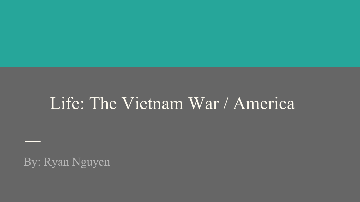# Life: The Vietnam War / America

By: Ryan Nguyen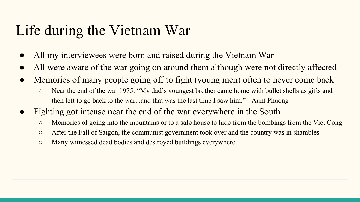#### Life during the Vietnam War

- All my interviewees were born and raised during the Vietnam War
- All were aware of the war going on around them although were not directly affected
- Memories of many people going off to fight (young men) often to never come back
	- Near the end of the war 1975: "My dad's youngest brother came home with bullet shells as gifts and then left to go back to the war...and that was the last time I saw him." - Aunt Phuong
- Fighting got intense near the end of the war everywhere in the South
	- Memories of going into the mountains or to a safe house to hide from the bombings from the Viet Cong
	- After the Fall of Saigon, the communist government took over and the country was in shambles
	- Many witnessed dead bodies and destroyed buildings everywhere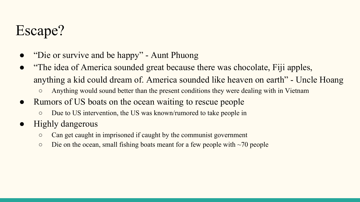### Escape?

- "Die or survive and be happy" Aunt Phuong
- "The idea of America sounded great because there was chocolate, Fiji apples, anything a kid could dream of. America sounded like heaven on earth" - Uncle Hoang
	- Anything would sound better than the present conditions they were dealing with in Vietnam
- Rumors of US boats on the ocean waiting to rescue people
	- Due to US intervention, the US was known/rumored to take people in
- Highly dangerous
	- Can get caught in imprisoned if caught by the communist government
	- $\circ$  Die on the ocean, small fishing boats meant for a few people with  $\sim$ 70 people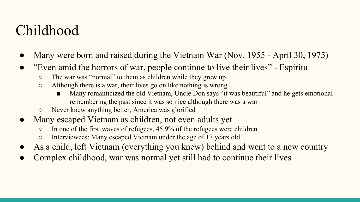#### Childhood

- Many were born and raised during the Vietnam War (Nov. 1955 April 30, 1975)
- "Even amid the horrors of war, people continue to live their lives" Espiritu
	- The war was "normal" to them as children while they grew up
	- Although there is a war, their lives go on like nothing is wrong
		- Many romanticized the old Vietnam, Uncle Don says "it was beautiful" and he gets emotional remembering the past since it was so nice although there was a war
	- Never knew anything better, America was glorified
- Many escaped Vietnam as children, not even adults yet
	- In one of the first waves of refugees, 45.9% of the refugees were children
	- Interviewees: Many escaped Vietnam under the age of 17 years old
- As a child, left Vietnam (everything you knew) behind and went to a new country
- Complex childhood, war was normal yet still had to continue their lives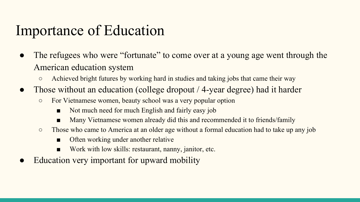#### Importance of Education

- The refugees who were "fortunate" to come over at a young age went through the American education system
	- Achieved bright futures by working hard in studies and taking jobs that came their way
- Those without an education (college dropout / 4-year degree) had it harder
	- For Vietnamese women, beauty school was a very popular option
		- Not much need for much English and fairly easy job
		- Many Vietnamese women already did this and recommended it to friends/family
	- Those who came to America at an older age without a formal education had to take up any job
		- Often working under another relative
		- Work with low skills: restaurant, nanny, janitor, etc.
- Education very important for upward mobility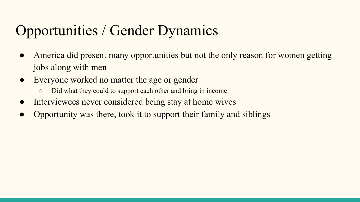## Opportunities / Gender Dynamics

- America did present many opportunities but not the only reason for women getting jobs along with men
- Everyone worked no matter the age or gender
	- Did what they could to support each other and bring in income
- Interviewees never considered being stay at home wives
- Opportunity was there, took it to support their family and siblings